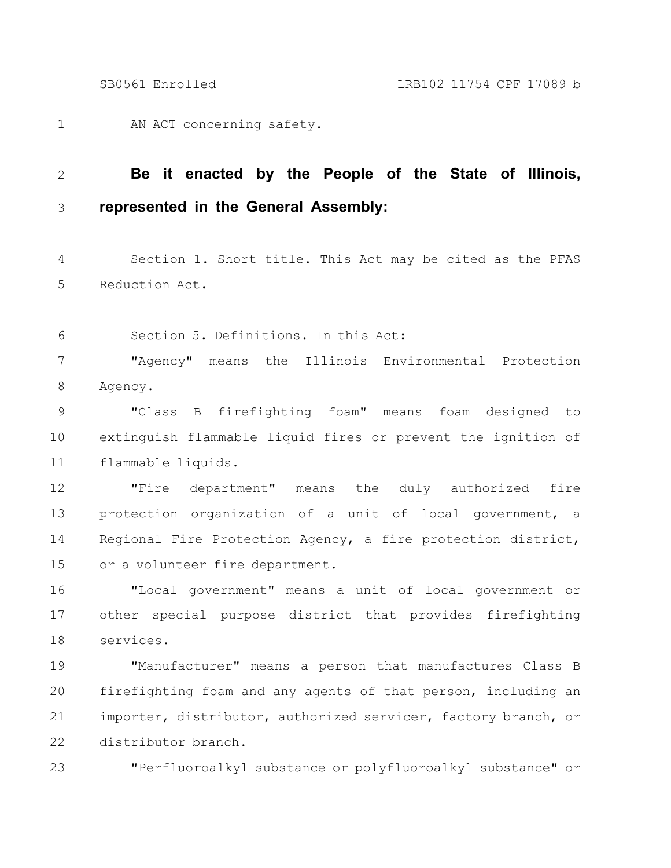AN ACT concerning safety. 1

## **Be it enacted by the People of the State of Illinois, represented in the General Assembly:** 2 3

Section 1. Short title. This Act may be cited as the PFAS Reduction Act. 4 5

Section 5. Definitions. In this Act: 6

"Agency" means the Illinois Environmental Protection Agency. 7 8

"Class B firefighting foam" means foam designed to extinguish flammable liquid fires or prevent the ignition of flammable liquids. 9 10 11

"Fire department" means the duly authorized fire protection organization of a unit of local government, a Regional Fire Protection Agency, a fire protection district, or a volunteer fire department. 12 13 14 15

"Local government" means a unit of local government or other special purpose district that provides firefighting services. 16 17 18

"Manufacturer" means a person that manufactures Class B firefighting foam and any agents of that person, including an importer, distributor, authorized servicer, factory branch, or distributor branch. 19 20 21 22

23

"Perfluoroalkyl substance or polyfluoroalkyl substance" or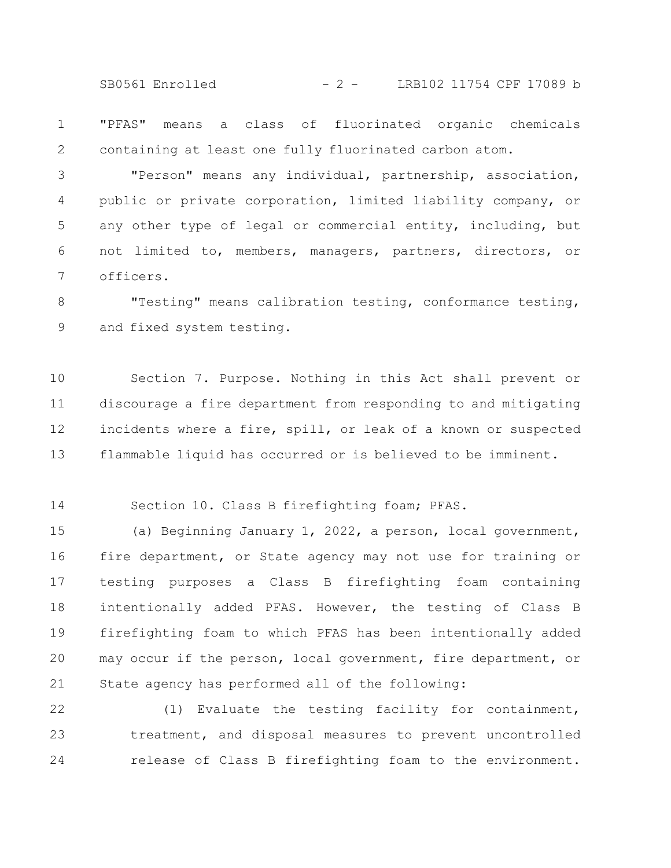SB0561 Enrolled - 2 - LRB102 11754 CPF 17089 b

"PFAS" means a class of fluorinated organic chemicals containing at least one fully fluorinated carbon atom. 1 2

"Person" means any individual, partnership, association, public or private corporation, limited liability company, or any other type of legal or commercial entity, including, but not limited to, members, managers, partners, directors, or officers. 3 4 5 6 7

"Testing" means calibration testing, conformance testing, and fixed system testing. 8 9

Section 7. Purpose. Nothing in this Act shall prevent or discourage a fire department from responding to and mitigating incidents where a fire, spill, or leak of a known or suspected flammable liquid has occurred or is believed to be imminent. 10 11 12 13

Section 10. Class B firefighting foam; PFAS. 14

(a) Beginning January 1, 2022, a person, local government, fire department, or State agency may not use for training or testing purposes a Class B firefighting foam containing intentionally added PFAS. However, the testing of Class B firefighting foam to which PFAS has been intentionally added may occur if the person, local government, fire department, or State agency has performed all of the following: 15 16 17 18 19 20 21

(1) Evaluate the testing facility for containment, treatment, and disposal measures to prevent uncontrolled release of Class B firefighting foam to the environment. 22 23 24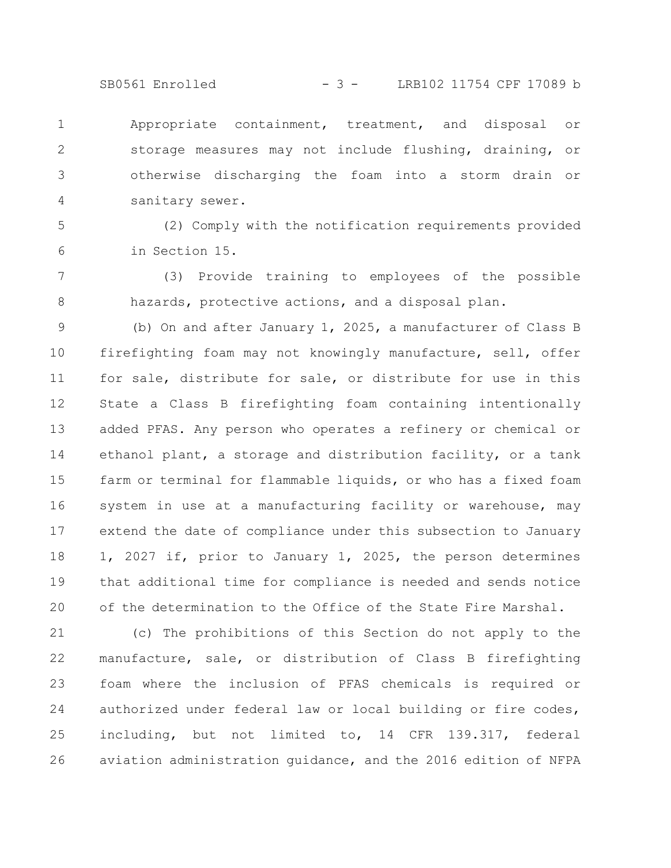SB0561 Enrolled - 3 - LRB102 11754 CPF 17089 b

Appropriate containment, treatment, and disposal or storage measures may not include flushing, draining, or otherwise discharging the foam into a storm drain or sanitary sewer. 1 2 3 4

(2) Comply with the notification requirements provided in Section 15. 5 6

(3) Provide training to employees of the possible hazards, protective actions, and a disposal plan. 7 8

(b) On and after January 1, 2025, a manufacturer of Class B firefighting foam may not knowingly manufacture, sell, offer for sale, distribute for sale, or distribute for use in this State a Class B firefighting foam containing intentionally added PFAS. Any person who operates a refinery or chemical or ethanol plant, a storage and distribution facility, or a tank farm or terminal for flammable liquids, or who has a fixed foam system in use at a manufacturing facility or warehouse, may extend the date of compliance under this subsection to January 1, 2027 if, prior to January 1, 2025, the person determines that additional time for compliance is needed and sends notice of the determination to the Office of the State Fire Marshal. 9 10 11 12 13 14 15 16 17 18 19 20

(c) The prohibitions of this Section do not apply to the manufacture, sale, or distribution of Class B firefighting foam where the inclusion of PFAS chemicals is required or authorized under federal law or local building or fire codes, including, but not limited to, 14 CFR 139.317, federal aviation administration guidance, and the 2016 edition of NFPA 21 22 23 24 25 26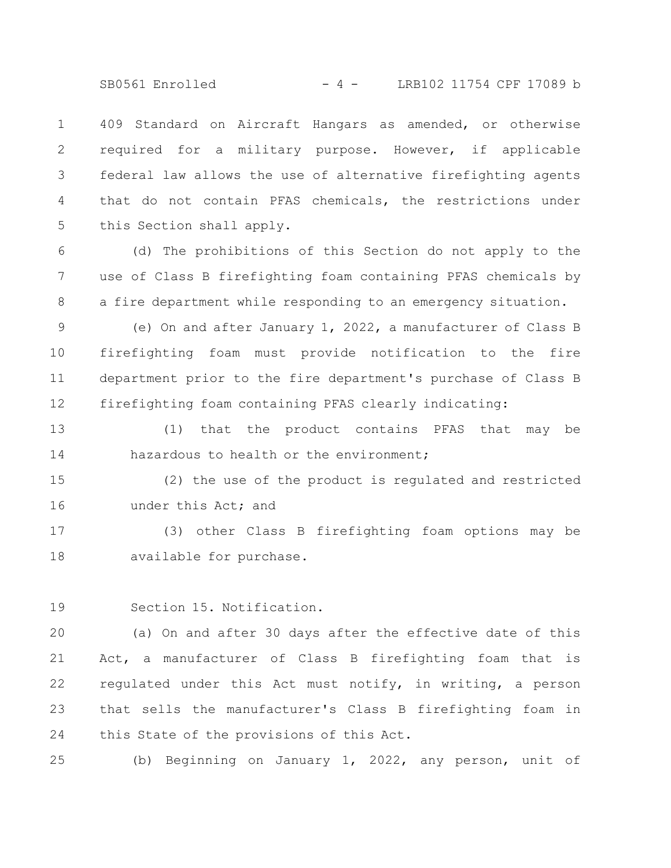SB0561 Enrolled - 4 - LRB102 11754 CPF 17089 b

409 Standard on Aircraft Hangars as amended, or otherwise required for a military purpose. However, if applicable federal law allows the use of alternative firefighting agents that do not contain PFAS chemicals, the restrictions under this Section shall apply. 1 2 3 4 5

(d) The prohibitions of this Section do not apply to the use of Class B firefighting foam containing PFAS chemicals by a fire department while responding to an emergency situation. 6 7 8

(e) On and after January 1, 2022, a manufacturer of Class B firefighting foam must provide notification to the fire department prior to the fire department's purchase of Class B firefighting foam containing PFAS clearly indicating: 9 10 11 12

(1) that the product contains PFAS that may be hazardous to health or the environment: 13 14

(2) the use of the product is regulated and restricted under this Act; and 15 16

(3) other Class B firefighting foam options may be available for purchase. 17 18

Section 15. Notification. 19

(a) On and after 30 days after the effective date of this Act, a manufacturer of Class B firefighting foam that is regulated under this Act must notify, in writing, a person that sells the manufacturer's Class B firefighting foam in this State of the provisions of this Act. 20 21 22 23 24

(b) Beginning on January 1, 2022, any person, unit of 25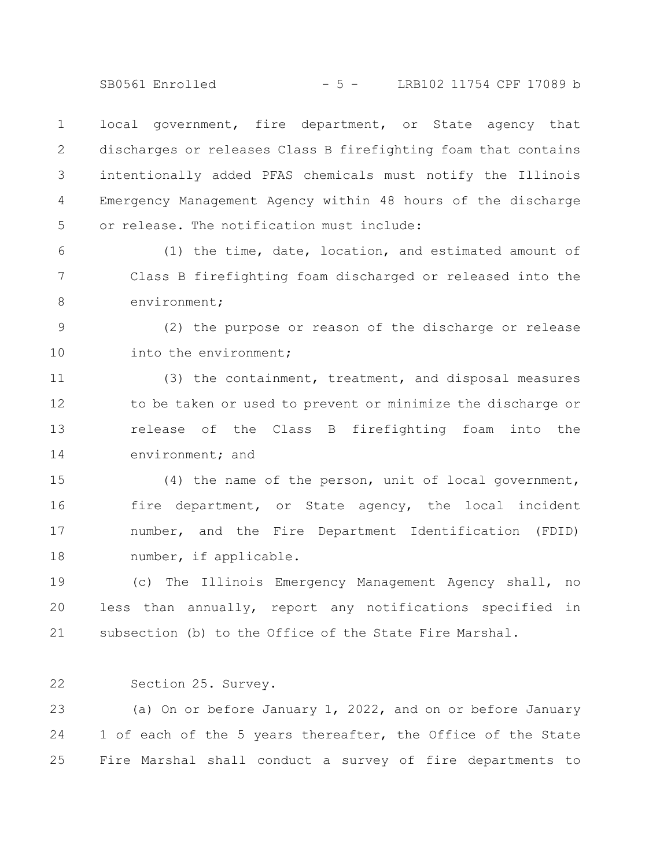SB0561 Enrolled - 5 - LRB102 11754 CPF 17089 b

local government, fire department, or State agency that discharges or releases Class B firefighting foam that contains intentionally added PFAS chemicals must notify the Illinois Emergency Management Agency within 48 hours of the discharge or release. The notification must include: 1 2 3 4 5

(1) the time, date, location, and estimated amount of Class B firefighting foam discharged or released into the environment; 6 7 8

(2) the purpose or reason of the discharge or release into the environment; 9 10

(3) the containment, treatment, and disposal measures to be taken or used to prevent or minimize the discharge or release of the Class B firefighting foam into the environment; and 11 12 13 14

(4) the name of the person, unit of local government, fire department, or State agency, the local incident number, and the Fire Department Identification (FDID) number, if applicable. 15 16 17 18

(c) The Illinois Emergency Management Agency shall, no less than annually, report any notifications specified in subsection (b) to the Office of the State Fire Marshal. 19 20 21

Section 25. Survey. 22

(a) On or before January 1, 2022, and on or before January 1 of each of the 5 years thereafter, the Office of the State Fire Marshal shall conduct a survey of fire departments to 23 24 25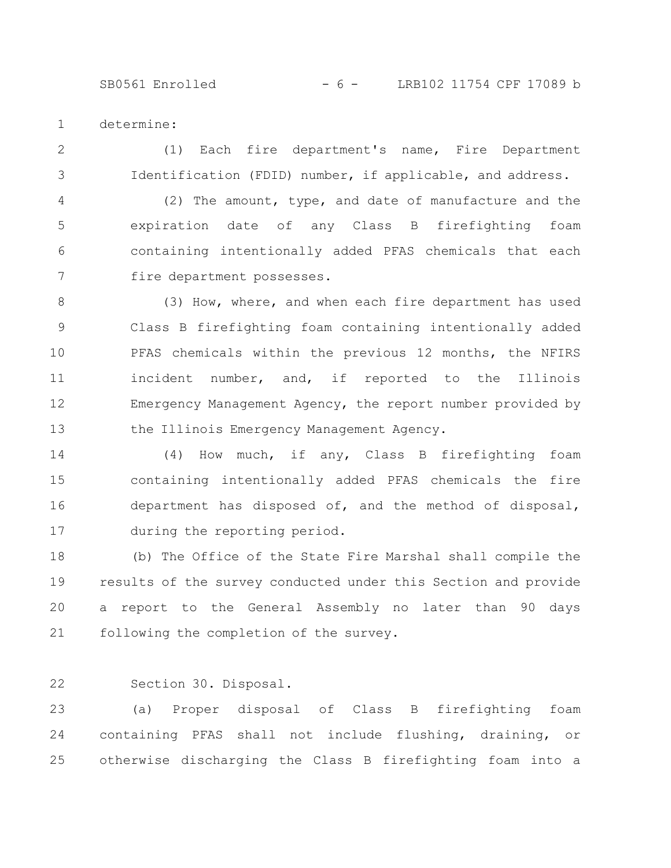SB0561 Enrolled - 6 - LRB102 11754 CPF 17089 b

determine: 1

(1) Each fire department's name, Fire Department Identification (FDID) number, if applicable, and address. 2 3

(2) The amount, type, and date of manufacture and the expiration date of any Class B firefighting foam containing intentionally added PFAS chemicals that each fire department possesses. 4 5 6 7

(3) How, where, and when each fire department has used Class B firefighting foam containing intentionally added PFAS chemicals within the previous 12 months, the NFIRS incident number, and, if reported to the Illinois Emergency Management Agency, the report number provided by the Illinois Emergency Management Agency. 8 9 10 11 12 13

(4) How much, if any, Class B firefighting foam containing intentionally added PFAS chemicals the fire department has disposed of, and the method of disposal, during the reporting period. 14 15 16 17

(b) The Office of the State Fire Marshal shall compile the results of the survey conducted under this Section and provide a report to the General Assembly no later than 90 days following the completion of the survey. 18 19 20 21

Section 30. Disposal. 22

(a) Proper disposal of Class B firefighting foam containing PFAS shall not include flushing, draining, or otherwise discharging the Class B firefighting foam into a 23 24 25